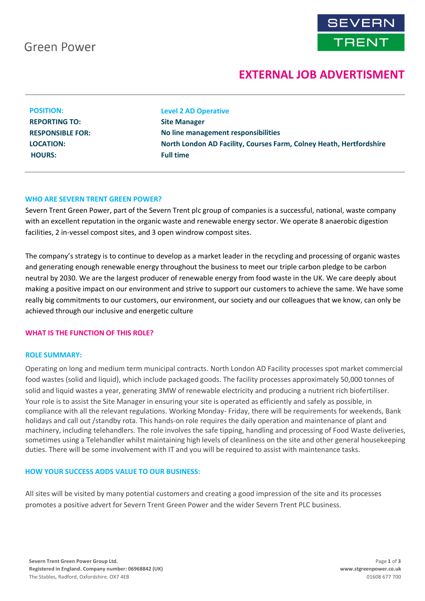

# **EXTERNAL JOB ADVERTISMENT**

| <b>POSITION:</b>        | <b>Level 2 AD Operative</b>                                         |
|-------------------------|---------------------------------------------------------------------|
| <b>REPORTING TO:</b>    | <b>Site Manager</b>                                                 |
| <b>RESPONSIBLE FOR:</b> | No line management responsibilities                                 |
| <b>LOCATION:</b>        | North London AD Facility, Courses Farm, Colney Heath, Hertfordshire |
| <b>HOURS:</b>           | <b>Full time</b>                                                    |
|                         |                                                                     |

### **WHO ARE SEVERN TRENT GREEN POWER?**

Severn Trent Green Power, part of the Severn Trent plc group of companies is a successful, national, waste company with an excellent reputation in the organic waste and renewable energy sector. We operate 8 anaerobic digestion facilities, 2 in-vessel compost sites, and 3 open windrow compost sites.

The company's strategy is to continue to develop as a market leader in the recycling and processing of organic wastes and generating enough renewable energy throughout the business to meet our triple carbon pledge to be carbon neutral by 2030. We are the largest producer of renewable energy from food waste in the UK. We care deeply about making a positive impact on our environment and strive to support our customers to achieve the same. We have some really big commitments to our customers, our environment, our society and our colleagues that we know, can only be achieved through our inclusive and energetic culture

### **WHAT IS THE FUNCTION OF THIS ROLE?**

### **ROLE SUMMARY:**

Operating on long and medium term municipal contracts. North London AD Facility processes spot market commercial food wastes (solid and liquid), which include packaged goods. The facility processes approximately 50,000 tonnes of solid and liquid wastes a year, generating 3MW of renewable electricity and producing a nutrient rich biofertiliser. Your role is to assist the Site Manager in ensuring your site is operated as efficiently and safely as possible, in compliance with all the relevant regulations. Working Monday- Friday, there will be requirements for weekends, Bank holidays and call out /standby rota. This hands-on role requires the daily operation and maintenance of plant and machinery, including telehandlers. The role involves the safe tipping, handling and processing of Food Waste deliveries, sometimes using a Telehandler whilst maintaining high levels of cleanliness on the site and other general housekeeping duties. There will be some involvement with IT and you will be required to assist with maintenance tasks.

### **HOW YOUR SUCCESS ADDS VALUE TO OUR BUSINESS:**

All sites will be visited by many potential customers and creating a good impression of the site and its processes promotes a positive advert for Severn Trent Green Power and the wider Severn Trent PLC business.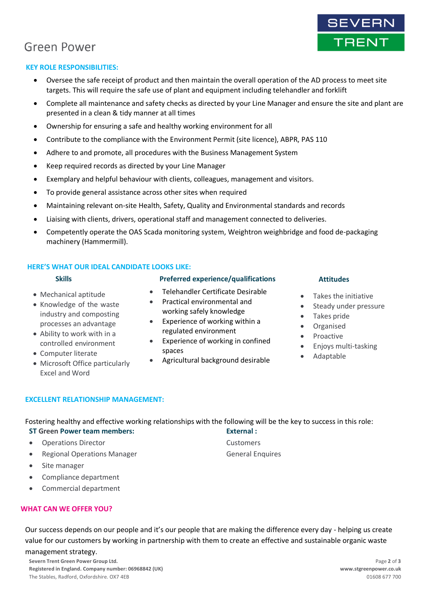# **Green Power**



## **KEY ROLE RESPONSIBILITIES:**

- Oversee the safe receipt of product and then maintain the overall operation of the AD process to meet site targets. This will require the safe use of plant and equipment including telehandler and forklift
- Complete all maintenance and safety checks as directed by your Line Manager and ensure the site and plant are presented in a clean & tidy manner at all times
- Ownership for ensuring a safe and healthy working environment for all
- Contribute to the compliance with the Environment Permit (site licence), ABPR, PAS 110
- Adhere to and promote, all procedures with the Business Management System
- Keep required records as directed by your Line Manager
- Exemplary and helpful behaviour with clients, colleagues, management and visitors.
- To provide general assistance across other sites when required
- Maintaining relevant on-site Health, Safety, Quality and Environmental standards and records
- Liaising with clients, drivers, operational staff and management connected to deliveries.
- Competently operate the OAS Scada monitoring system, Weightron weighbridge and food de-packaging machinery (Hammermill).

### **HERE'S WHAT OUR IDEAL CANDIDATE LOOKS LIKE:**

- Mechanical aptitude
- Knowledge of the waste industry and composting processes an advantage
- Ability to work with in a controlled environment
- Computer literate
- Microsoft Office particularly Excel and Word

# **Skills Preferred experience/qualifications Attitudes**

- Telehandler Certificate Desirable
- Practical environmental and working safely knowledge
- Experience of working within a regulated environment
- Experience of working in confined spaces
- Agricultural background desirable

- Takes the initiative
- Steady under pressure
- Takes pride
- **Organised**
- Proactive
- Enjoys multi-tasking
- Adaptable

## **EXCELLENT RELATIONSHIP MANAGEMENT:**

Fostering healthy and effective working relationships with the following will be the key to success in this role: **ST Green Power team members: External :**

- Operations Director Customers
- Regional Operations Manager General Enquires
- Site manager
- Compliance department
- Commercial department

# **WHAT CAN WE OFFER YOU?**

Our success depends on our people and it's our people that are making the difference every day - helping us create value for our customers by working in partnership with them to create an effective and sustainable organic waste

management strategy.

**Severn Trent Green Power Group Ltd. Registered in England. Company number: 06968842 (UK)** The Stables, Radford, Oxfordshire. OX7 4EB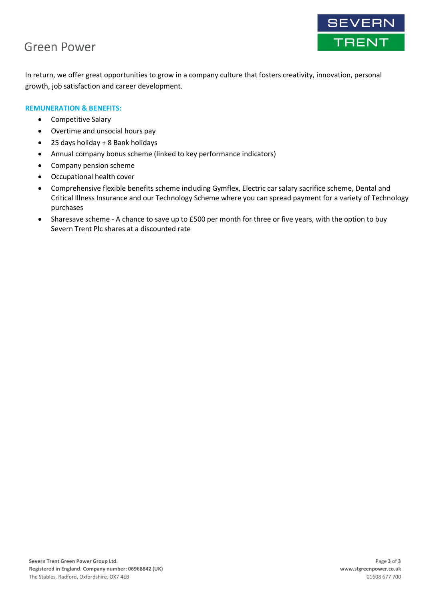# **Green Power**

SEVERN TRENT

In return, we offer great opportunities to grow in a company culture that fosters creativity, innovation, personal growth, job satisfaction and career development.

## **REMUNERATION & BENEFITS:**

- Competitive Salary
- Overtime and unsocial hours pay
- 25 days holiday + 8 Bank holidays
- Annual company bonus scheme (linked to key performance indicators)
- Company pension scheme
- Occupational health cover
- Comprehensive flexible benefits scheme including Gymflex, Electric car salary sacrifice scheme, Dental and Critical Illness Insurance and our Technology Scheme where you can spread payment for a variety of Technology purchases
- Sharesave scheme A chance to save up to £500 per month for three or five years, with the option to buy Severn Trent Plc shares at a discounted rate